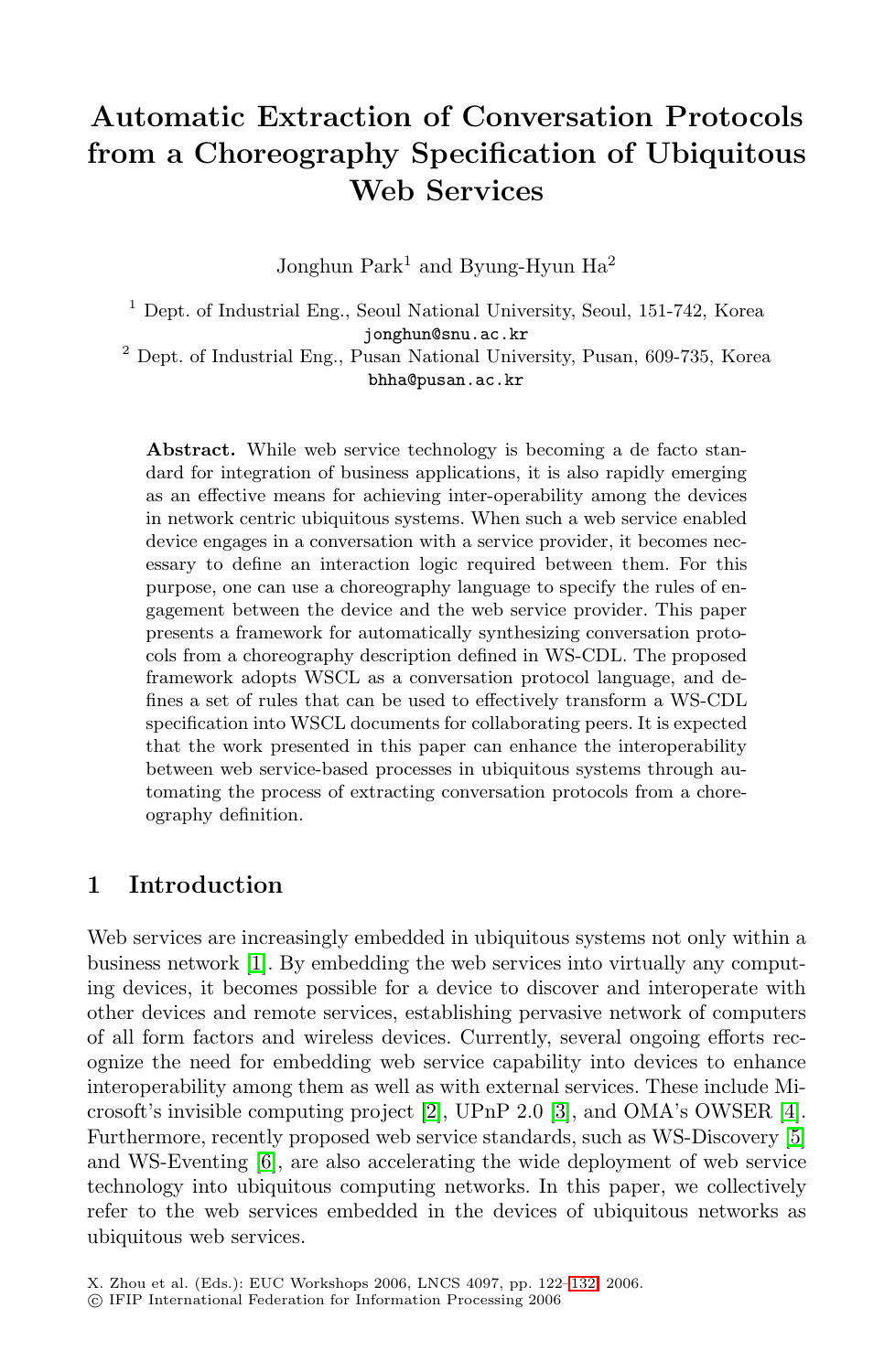# **Automatic Extraction of Conversation Protocols from a Choreography Specification of Ubiquitous Web Services**

Jonghun Park<sup>1</sup> and Byung-Hyun  $Ha^2$ 

<sup>1</sup> Dept. of Industrial Eng., Seoul National University, Seoul, 151-742, Korea jonghun@snu.ac.kr <sup>2</sup> Dept. of Industrial Eng., Pusan National University, Pusan, 609-735, Korea

bhha@pusan.ac.kr

**Abstract.** While web service technology is becoming a de facto standard for integration of business applications, it is also rapidly emerging as an effective means for achieving inter-operability among the devices in network centric ubiquitous systems. When such a web service enabled device engages in a conversation with a service provider, it becomes necessary to define an interaction logic required between them. For this purpose, one can use a choreography language to specify the rules of engagement between the device and the web service provider. This paper presents a framework for automatically synthesizing conversation protocols from a choreography description defined in WS-CDL. The proposed framework adopts WSCL as a conversation protocol language, and defines a set of rules that can be used to effectively transform a WS-CDL specification into WSCL documents for collaborating peers. It is expected that the work presented in this paper can enhance the interoperability between web service-based processes in ubiquitous systems through automating the process of extracting conversation protocols from a choreography definition.

### **1 Introduction**

Web services are increasingly embedded in ubiquitous systems not only within a business network [\[1\]](#page-10-0). By embedding the web services into virtually any computing devices, it becomes possible for a device to discover and interoperate with other devices and remote services, establishing pervasive network of computers of all form factors and wireless devices. Currently, several ongoing efforts recognize the need for embedding web service capability into devices to enhance interoperability among them as well as with external services. These include Microsoft's invisible computing project [\[2\]](#page-10-1), UPnP 2.0 [\[3\]](#page-10-2), and OMA's OWSER [\[4\]](#page-10-3). Furthermore, recently proposed web service standards, such as WS-Discovery [\[5\]](#page-10-4) and WS-Eventing [\[6\]](#page-10-5), are also accelerating the wide deployment of web service technology into ubiquitous computing networks. In this paper, we collectively refer to the web services embedded in the devices of ubiquitous networks as ubiquitous web services.

<sup>-</sup>c IFIP International Federation for Information Processing 2006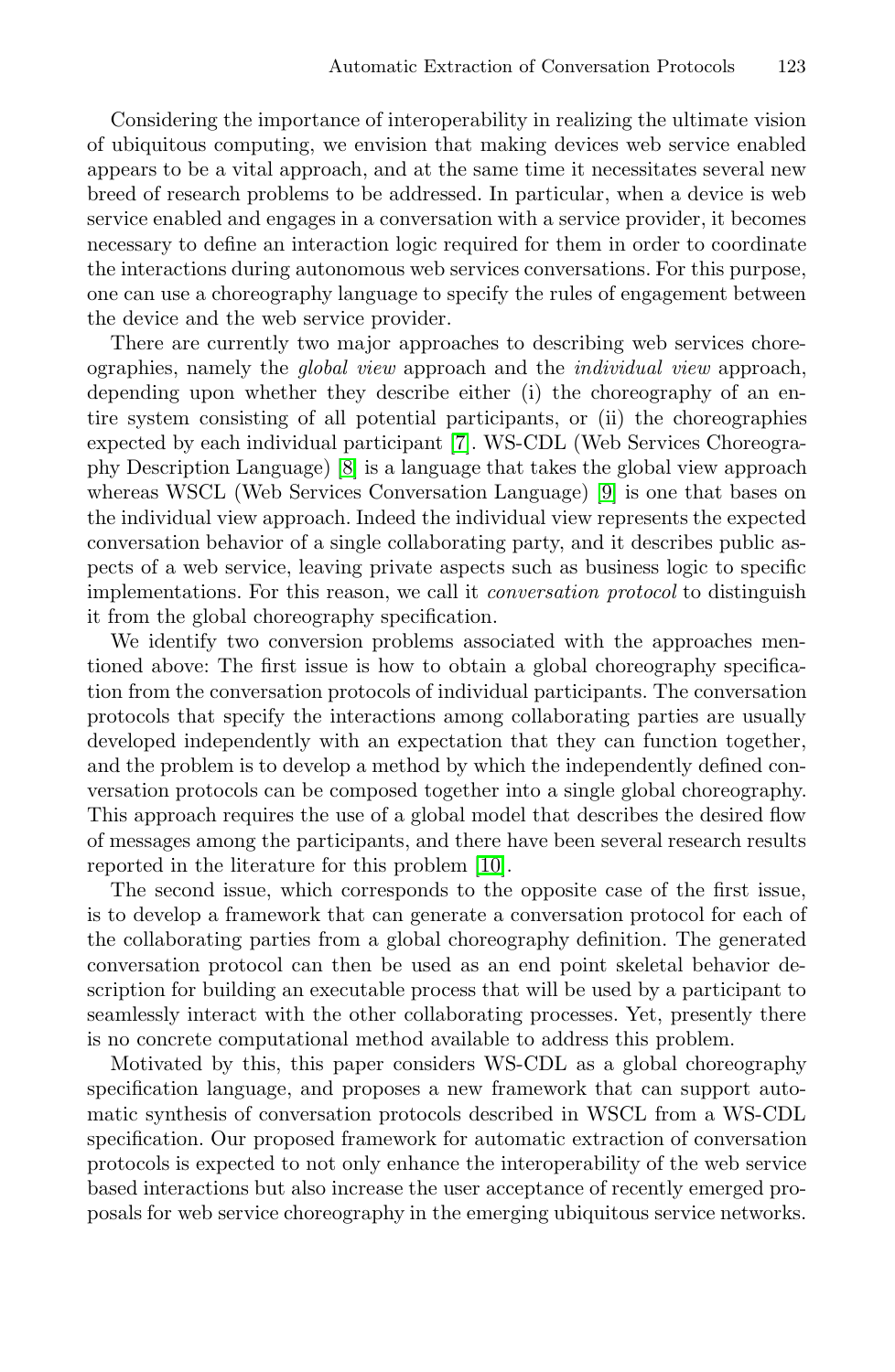Considering the importance of interoperability in realizing the ultimate vision of ubiquitous computing, we envision that making devices web service enabled appears to be a vital approach, and at the same time it necessitates several new breed of research problems to be addressed. In particular, when a device is web service enabled and engages in a conversation with a service provider, it becomes necessary to define an interaction logic required for them in order to coordinate the interactions during autonomous web services conversations. For this purpose, one can use a choreography language to specify the rules of engagement between the device and the web service provider.

There are currently two major approaches to describing web services choreographies, namely the *global view* approach and the *individual view* approach, depending upon whether they describe either (i) the choreography of an entire system consisting of all potential participants, or (ii) the choreographies expected by each individual participant [\[7\]](#page-10-7). WS-CDL (Web Services Choreography Description Language) [\[8\]](#page-10-8) is a language that takes the global view approach whereas WSCL (Web Services Conversation Language) [\[9\]](#page-10-9) is one that bases on the individual view approach. Indeed the individual view represents the expected conversation behavior of a single collaborating party, and it describes public aspects of a web service, leaving private aspects such as business logic to specific implementations. For this reason, we call it *conversation protocol* to distinguish it from the global choreography specification.

We identify two conversion problems associated with the approaches mentioned above: The first issue is how to obtain a global choreography specification from the conversation protocols of individual participants. The conversation protocols that specify the interactions among collaborating parties are usually developed independently with an expectation that they can function together, and the problem is to develop a method by which the independently defined conversation protocols can be composed together into a single global choreography. This approach requires the use of a global model that describes the desired flow of messages among the participants, and there have been several research results reported in the literature for this problem [\[10\]](#page-10-10).

The second issue, which corresponds to the opposite case of the first issue, is to develop a framework that can generate a conversation protocol for each of the collaborating parties from a global choreography definition. The generated conversation protocol can then be used as an end point skeletal behavior description for building an executable process that will be used by a participant to seamlessly interact with the other collaborating processes. Yet, presently there is no concrete computational method available to address this problem.

Motivated by this, this paper considers WS-CDL as a global choreography specification language, and proposes a new framework that can support automatic synthesis of conversation protocols described in WSCL from a WS-CDL specification. Our proposed framework for automatic extraction of conversation protocols is expected to not only enhance the interoperability of the web service based interactions but also increase the user acceptance of recently emerged proposals for web service choreography in the emerging ubiquitous service networks.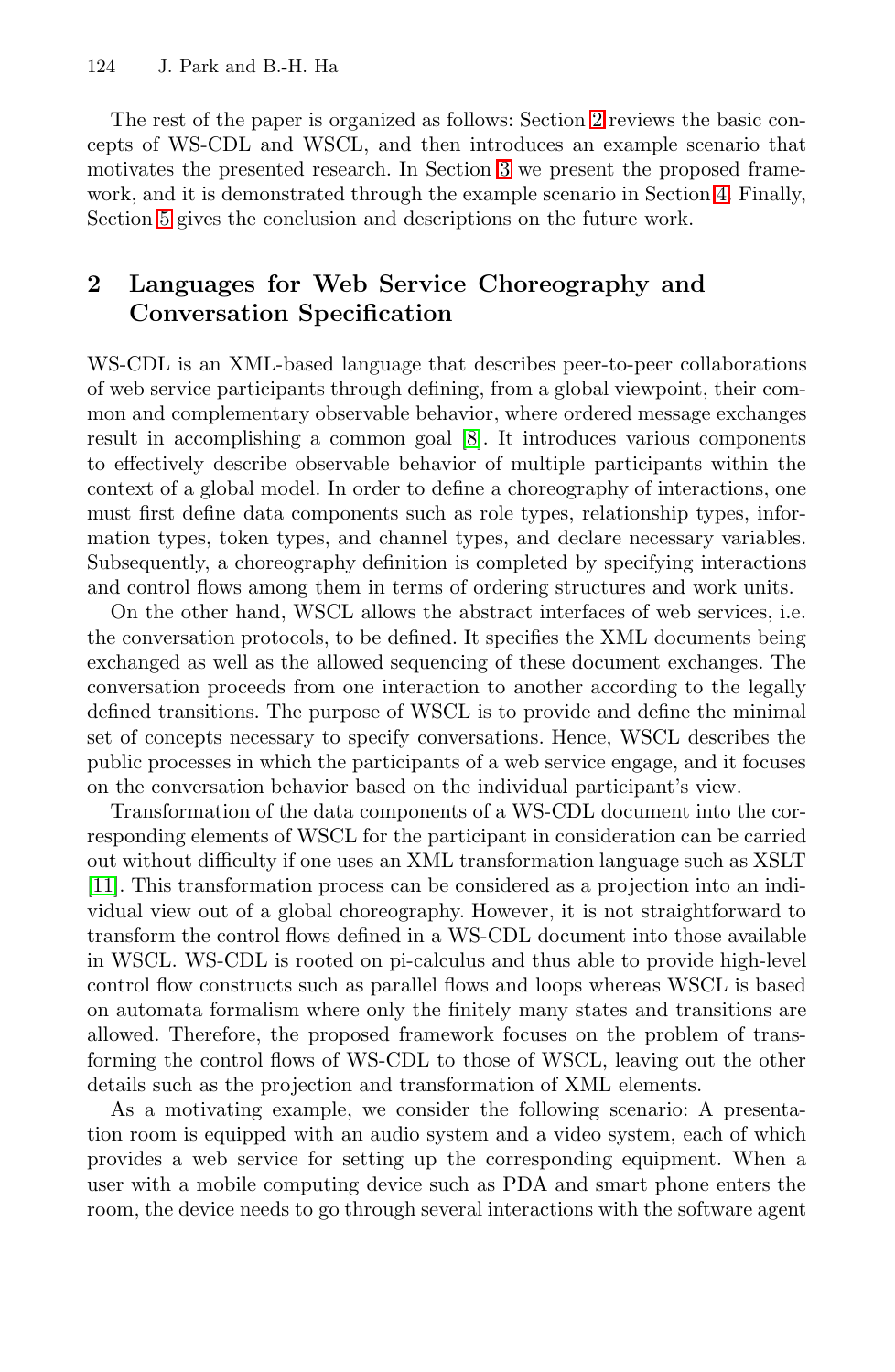The rest of the paper is organized as follows: Section [2](#page-2-0) reviews the basic concepts of WS-CDL and WSCL, and then introduces an example scenario that motivates the presented research. In Section [3](#page-3-0) we present the proposed framework, and it is demonstrated through the example scenario in Section [4.](#page-8-0) Finally, Section [5](#page-9-0) gives the conclusion and descriptions on the future work.

## <span id="page-2-0"></span>**2 Languages for Web Service Choreography and Conversation Specification**

WS-CDL is an XML-based language that describes peer-to-peer collaborations of web service participants through defining, from a global viewpoint, their common and complementary observable behavior, where ordered message exchanges result in accomplishing a common goal [\[8\]](#page-10-8). It introduces various components to effectively describe observable behavior of multiple participants within the context of a global model. In order to define a choreography of interactions, one must first define data components such as role types, relationship types, information types, token types, and channel types, and declare necessary variables. Subsequently, a choreography definition is completed by specifying interactions and control flows among them in terms of ordering structures and work units.

On the other hand, WSCL allows the abstract interfaces of web services, i.e. the conversation protocols, to be defined. It specifies the XML documents being exchanged as well as the allowed sequencing of these document exchanges. The conversation proceeds from one interaction to another according to the legally defined transitions. The purpose of WSCL is to provide and define the minimal set of concepts necessary to specify conversations. Hence, WSCL describes the public processes in which the participants of a web service engage, and it focuses on the conversation behavior based on the individual participant's view.

Transformation of the data components of a WS-CDL document into the corresponding elements of WSCL for the participant in consideration can be carried out without difficulty if one uses an XML transformation language such as XSLT [\[11\]](#page-10-11). This transformation process can be considered as a projection into an individual view out of a global choreography. However, it is not straightforward to transform the control flows defined in a WS-CDL document into those available in WSCL. WS-CDL is rooted on pi-calculus and thus able to provide high-level control flow constructs such as parallel flows and loops whereas WSCL is based on automata formalism where only the finitely many states and transitions are allowed. Therefore, the proposed framework focuses on the problem of transforming the control flows of WS-CDL to those of WSCL, leaving out the other details such as the projection and transformation of XML elements.

As a motivating example, we consider the following scenario: A presentation room is equipped with an audio system and a video system, each of which provides a web service for setting up the corresponding equipment. When a user with a mobile computing device such as PDA and smart phone enters the room, the device needs to go through several interactions with the software agent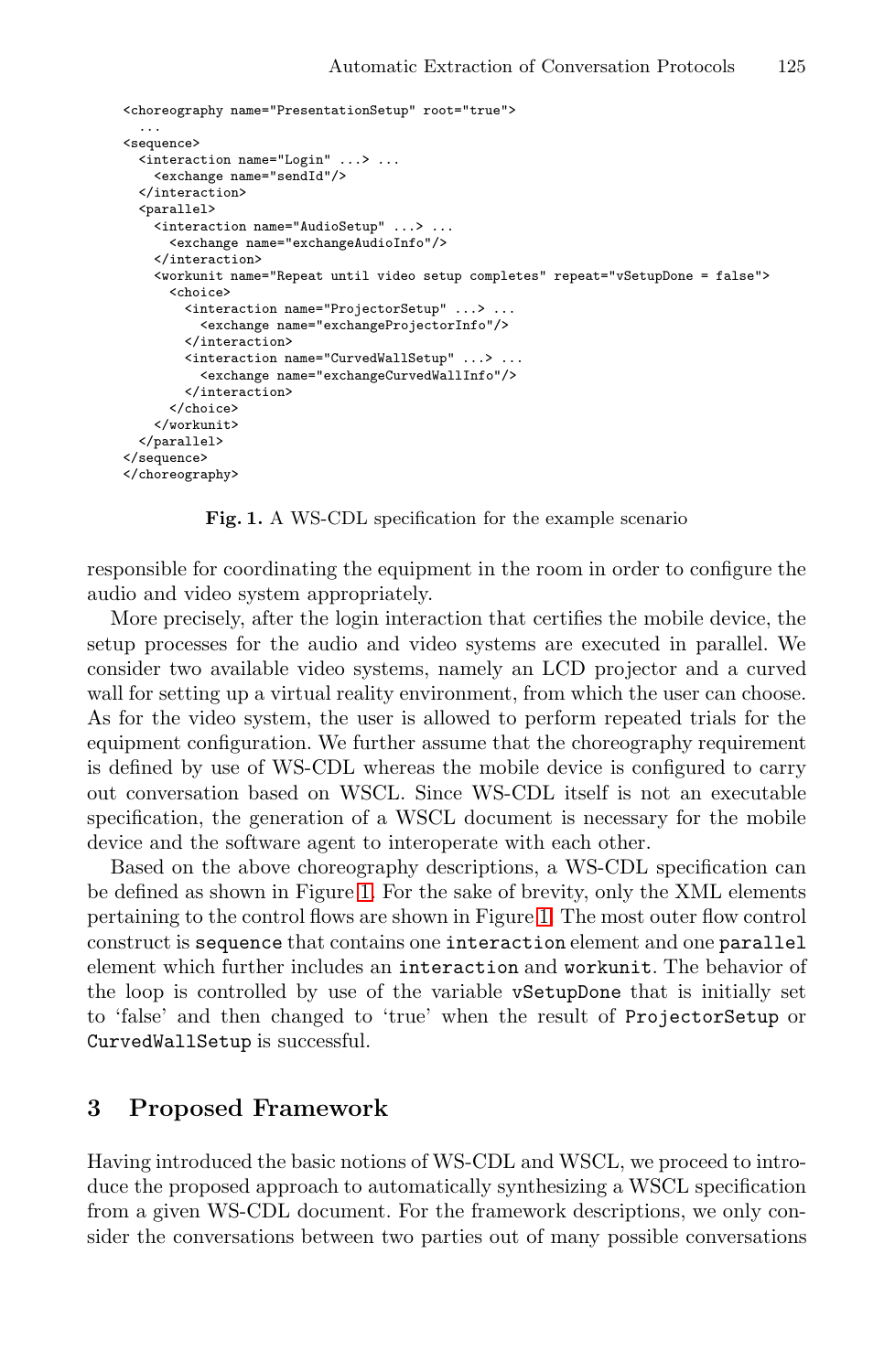```
<choreography name="PresentationSetup" root="true">
  ...
<sequence>
  <interaction name="Login" ...> ...
   <exchange name="sendId"/>
  </interaction>
  <parallel>
    <interaction name="AudioSetup" ...> ...
      <exchange name="exchangeAudioInfo"/>
    </interaction>
    <workunit name="Repeat until video setup completes" repeat="vSetupDone = false">
      <choice>
        <interaction name="ProjectorSetup" ...> ...
          <exchange name="exchangeProjectorInfo"/>
        </interaction>
        <interaction name="CurvedWallSetup" ...> ...
          <exchange name="exchangeCurvedWallInfo"/>
        </interaction>
      </choice>
    </workunit>
  </parallel>
</sequence>
</choreography>
```
**Fig. 1.** A WS-CDL specification for the example scenario

<span id="page-3-1"></span>responsible for coordinating the equipment in the room in order to configure the audio and video system appropriately.

More precisely, after the login interaction that certifies the mobile device, the setup processes for the audio and video systems are executed in parallel. We consider two available video systems, namely an LCD projector and a curved wall for setting up a virtual reality environment, from which the user can choose. As for the video system, the user is allowed to perform repeated trials for the equipment configuration. We further assume that the choreography requirement is defined by use of WS-CDL whereas the mobile device is configured to carry out conversation based on WSCL. Since WS-CDL itself is not an executable specification, the generation of a WSCL document is necessary for the mobile device and the software agent to interoperate with each other.

Based on the above choreography descriptions, a WS-CDL specification can be defined as shown in Figure [1.](#page-3-1) For the sake of brevity, only the XML elements pertaining to the control flows are shown in Figure [1.](#page-3-1) The most outer flow control construct is sequence that contains one interaction element and one parallel element which further includes an interaction and workunit. The behavior of the loop is controlled by use of the variable vSetupDone that is initially set to 'false' and then changed to 'true' when the result of ProjectorSetup or CurvedWallSetup is successful.

#### <span id="page-3-0"></span>**3 Proposed Framework**

Having introduced the basic notions of WS-CDL and WSCL, we proceed to introduce the proposed approach to automatically synthesizing a WSCL specification from a given WS-CDL document. For the framework descriptions, we only consider the conversations between two parties out of many possible conversations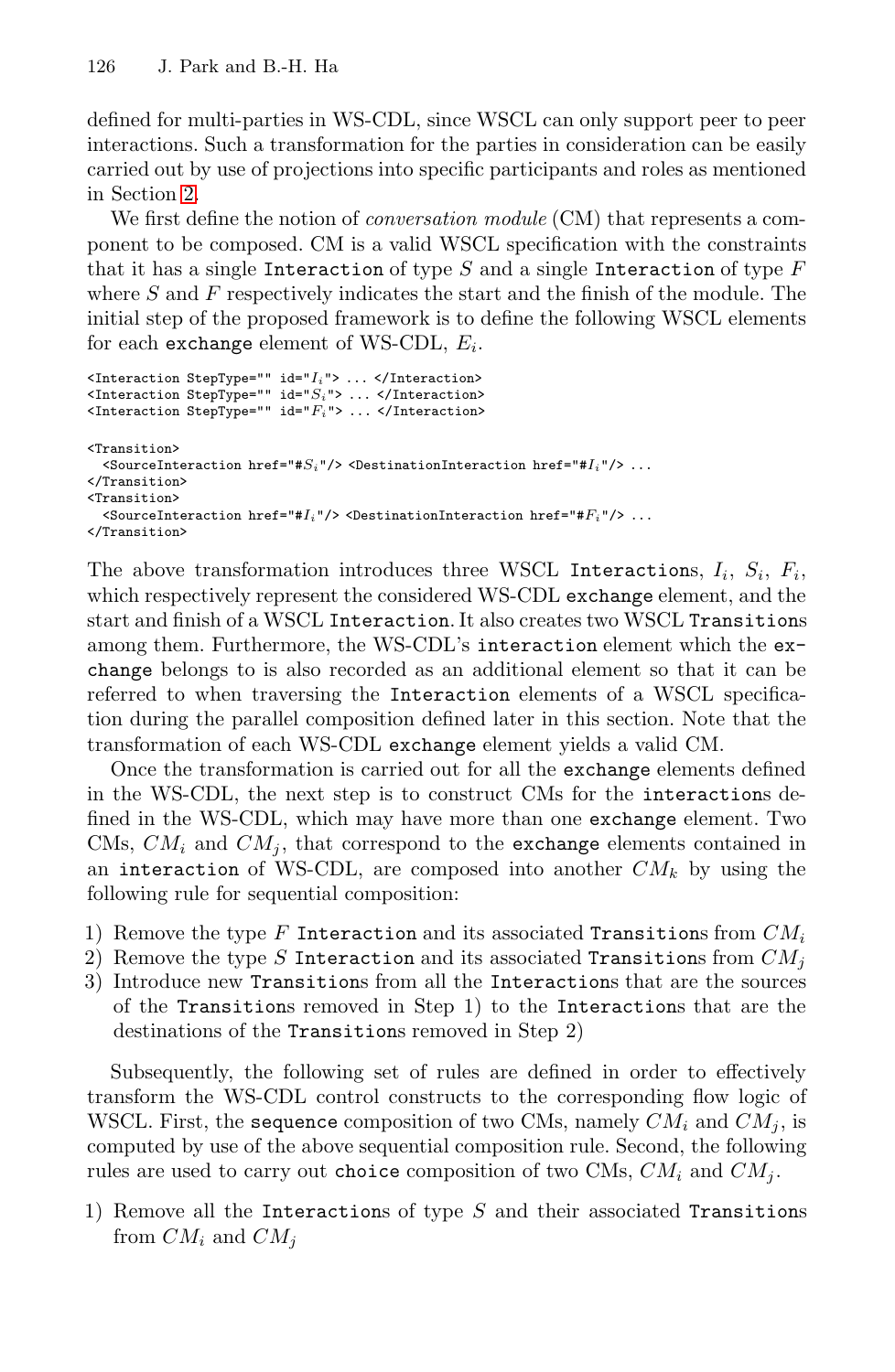defined for multi-parties in WS-CDL, since WSCL can only support peer to peer interactions. Such a transformation for the parties in consideration can be easily carried out by use of projections into specific participants and roles as mentioned in Section [2.](#page-2-0)

We first define the notion of *conversation module* (CM) that represents a component to be composed. CM is a valid WSCL specification with the constraints that it has a single Interaction of type  $S$  and a single Interaction of type  $F$ where  $S$  and  $F$  respectively indicates the start and the finish of the module. The initial step of the proposed framework is to define the following WSCL elements for each exchange element of WS-CDL, E*i*.

```
<Interaction StepType="" id="Ii"> ... </Interaction>
<Interaction StepType="" id="Si"> ... </Interaction>
<Interaction StepType="" id="Fi"> ... </Interaction>
<Transition>
  \leqSourceInteraction href="#S_i"/> \leqDestinationInteraction href="#I_i"/> ...
</Transition>
<Transition>
  \leqSourceInteraction href="#I_i"/>\leqDestinationInteraction href="#F_i"/> ...
</Transition>
```
The above transformation introduces three WSCL Interactions,  $I_i$ ,  $S_i$ ,  $F_i$ , which respectively represent the considered WS-CDL exchange element, and the start and finish of a WSCL Interaction. It also creates two WSCL Transitions among them. Furthermore, the WS-CDL's interaction element which the exchange belongs to is also recorded as an additional element so that it can be referred to when traversing the Interaction elements of a WSCL specification during the parallel composition defined later in this section. Note that the transformation of each WS-CDL exchange element yields a valid CM.

Once the transformation is carried out for all the exchange elements defined in the WS-CDL, the next step is to construct CMs for the interactions defined in the WS-CDL, which may have more than one exchange element. Two CMs,  $CM_i$  and  $CM_j$ , that correspond to the exchange elements contained in an interaction of WS-CDL, are composed into another  $CM_k$  by using the following rule for sequential composition:

- 1) Remove the type F Interaction and its associated Transitions from CM*<sup>i</sup>*
- 2) Remove the type S Interaction and its associated Transitions from  $CM_i$
- 3) Introduce new Transitions from all the Interactions that are the sources of the Transitions removed in Step 1) to the Interactions that are the destinations of the Transitions removed in Step 2)

Subsequently, the following set of rules are defined in order to effectively transform the WS-CDL control constructs to the corresponding flow logic of WSCL. First, the sequence composition of two CMs, namely  $CM_i$  and  $CM_j$ , is computed by use of the above sequential composition rule. Second, the following rules are used to carry out choice composition of two CMs,  $CM_i$  and  $CM_j$ .

1) Remove all the Interactions of type S and their associated Transitions from CM*<sup>i</sup>* and CM*<sup>j</sup>*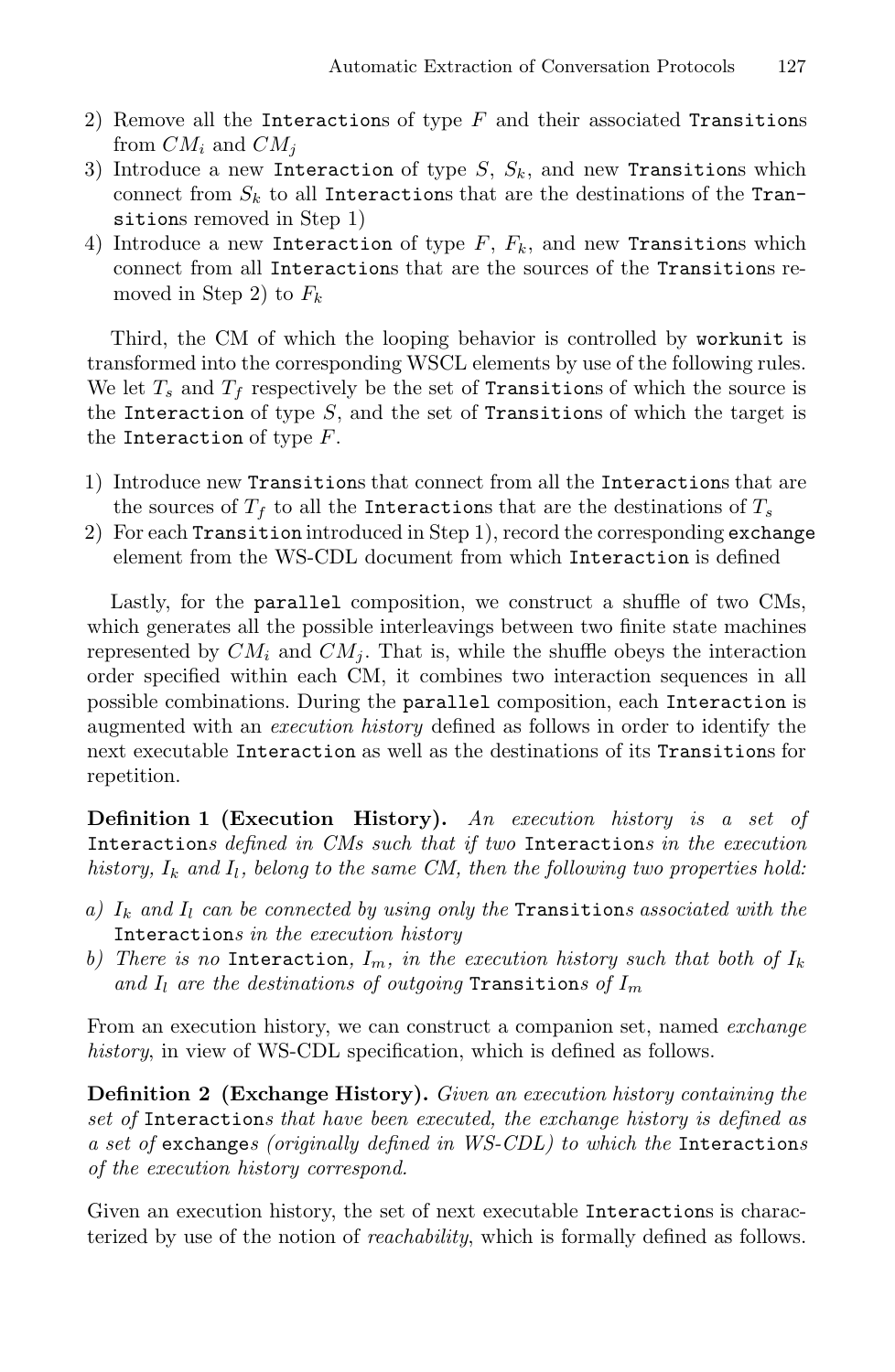- 2) Remove all the Interactions of type  $F$  and their associated Transitions from CM*<sup>i</sup>* and CM*<sup>j</sup>*
- 3) Introduce a new Interaction of type S, S*k*, and new Transitions which connect from  $S_k$  to all Interactions that are the destinations of the Transitions removed in Step 1)
- 4) Introduce a new Interaction of type F, F*k*, and new Transitions which connect from all Interactions that are the sources of the Transitions removed in Step 2) to F*<sup>k</sup>*

Third, the CM of which the looping behavior is controlled by workunit is transformed into the corresponding WSCL elements by use of the following rules. We let  $T_s$  and  $T_f$  respectively be the set of Transitions of which the source is the Interaction of type  $S$ , and the set of Transitions of which the target is the Interaction of type  $F$ .

- 1) Introduce new Transitions that connect from all the Interactions that are the sources of  $T_f$  to all the Interactions that are the destinations of  $T_s$
- 2) For each Transition introduced in Step 1), record the corresponding exchange element from the WS-CDL document from which Interaction is defined

Lastly, for the parallel composition, we construct a shuffle of two CMs, which generates all the possible interleavings between two finite state machines represented by  $CM_i$  and  $CM_i$ . That is, while the shuffle obeys the interaction order specified within each CM, it combines two interaction sequences in all possible combinations. During the parallel composition, each Interaction is augmented with an *execution history* defined as follows in order to identify the next executable Interaction as well as the destinations of its Transitions for repetition.

**Definition 1 (Execution History).** *An execution history is a set of* Interaction*s defined in CMs such that if two* Interaction*s in the execution history,* I*<sup>k</sup> and* I*l, belong to the same CM, then the following two properties hold:*

- *a)* I*<sup>k</sup> and* I*<sup>l</sup> can be connected by using only the* Transition*s associated with the* Interaction*s in the execution history*
- *b)* There is no Interaction,  $I_m$ , in the execution history such that both of  $I_k$ *and* I*<sup>l</sup> are the destinations of outgoing* Transition*s of* I*<sup>m</sup>*

From an execution history, we can construct a companion set, named *exchange history*, in view of WS-CDL specification, which is defined as follows.

**Definition 2 (Exchange History).** *Given an execution history containing the set of* Interaction*s that have been executed, the exchange history is defined as a set of* exchange*s (originally defined in WS-CDL) to which the* Interaction*s of the execution history correspond.*

Given an execution history, the set of next executable Interactions is characterized by use of the notion of *reachability*, which is formally defined as follows.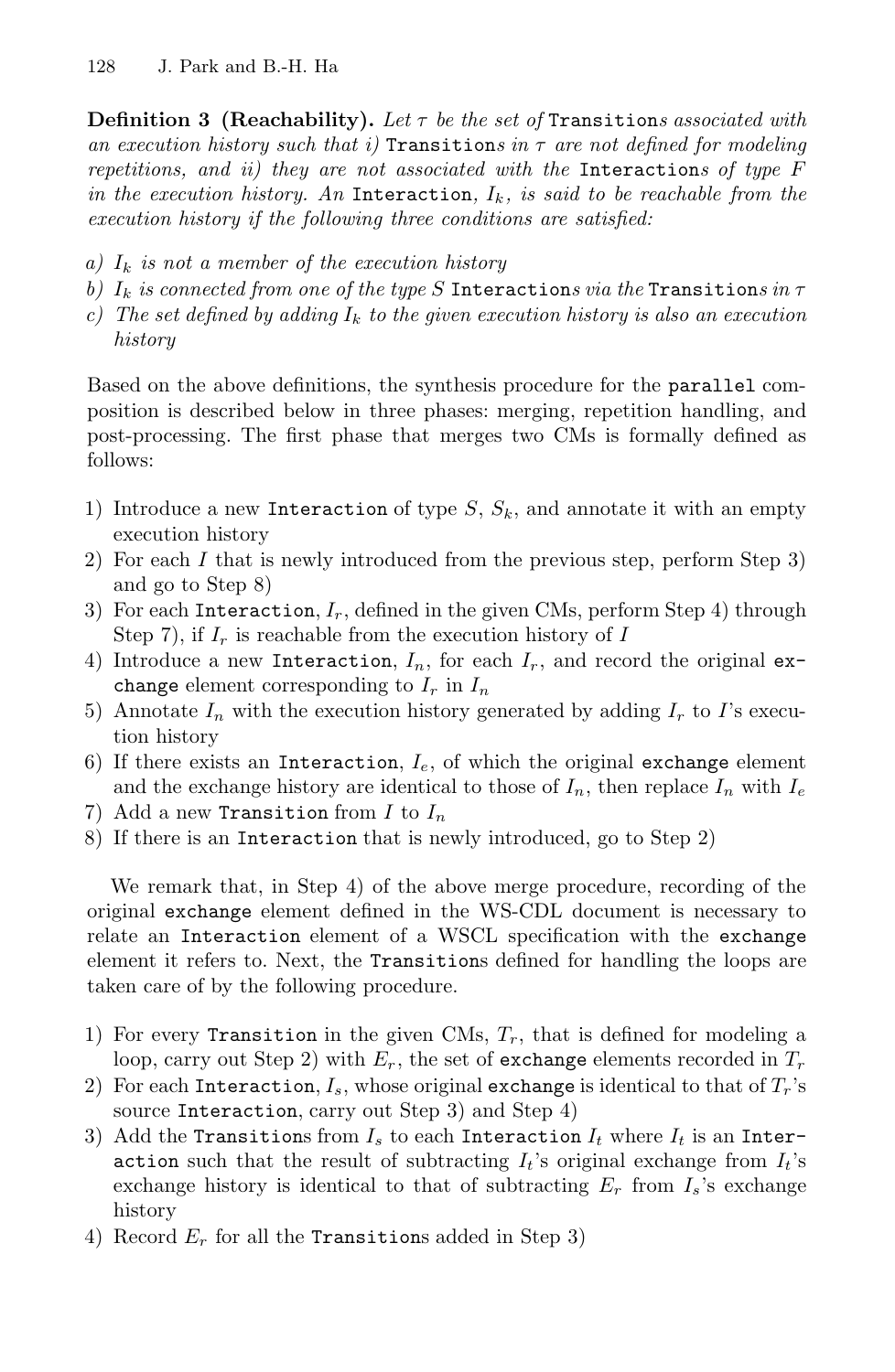**Definition 3 (Reachability).** *Let* <sup>τ</sup> *be the set of* Transition*s associated with an execution history such that i)* Transition*s in* τ *are not defined for modeling repetitions, and ii) they are not associated with the* Interaction*s of type* F *in the execution history. An* Interaction,  $I_k$ *, is said to be reachable from the execution history if the following three conditions are satisfied:*

- *a)* I*<sup>k</sup> is not a member of the execution history*
- $b)$   $I_k$  *is connected from one of the type S* Interaction*s via the* Transition*s in*  $\tau$
- *c) The set defined by adding* I*<sup>k</sup> to the given execution history is also an execution history*

Based on the above definitions, the synthesis procedure for the parallel composition is described below in three phases: merging, repetition handling, and post-processing. The first phase that merges two CMs is formally defined as follows:

- 1) Introduce a new Interaction of type  $S$ ,  $S_k$ , and annotate it with an empty execution history
- 2) For each I that is newly introduced from the previous step, perform Step 3) and go to Step 8)
- 3) For each Interaction, I*r*, defined in the given CMs, perform Step 4) through Step 7), if  $I_r$  is reachable from the execution history of  $I$
- 4) Introduce a new Interaction,  $I_n$ , for each  $I_r$ , and record the original exchange element corresponding to  $I_r$  in  $I_n$
- 5) Annotate  $I_n$  with the execution history generated by adding  $I_r$  to I's execution history
- 6) If there exists an Interaction, I*e*, of which the original exchange element and the exchange history are identical to those of  $I_n$ , then replace  $I_n$  with  $I_e$
- 7) Add a new Transition from I to I*<sup>n</sup>*
- 8) If there is an Interaction that is newly introduced, go to Step 2)

We remark that, in Step 4) of the above merge procedure, recording of the original exchange element defined in the WS-CDL document is necessary to relate an Interaction element of a WSCL specification with the exchange element it refers to. Next, the Transitions defined for handling the loops are taken care of by the following procedure.

- 1) For every **Transition** in the given CMs,  $T_r$ , that is defined for modeling a loop, carry out Step 2) with  $E_r$ , the set of exchange elements recorded in  $T_r$
- 2) For each Interaction,  $I_s$ , whose original exchange is identical to that of  $T_r$ 's source Interaction, carry out Step 3) and Step 4)
- 3) Add the Transitions from  $I_s$  to each Interaction  $I_t$  where  $I_t$  is an Interaction such that the result of subtracting  $I_t$ 's original exchange from  $I_t$ 's exchange history is identical to that of subtracting  $E_r$  from  $I_s$ 's exchange history
- 4) Record E*<sup>r</sup>* for all the Transitions added in Step 3)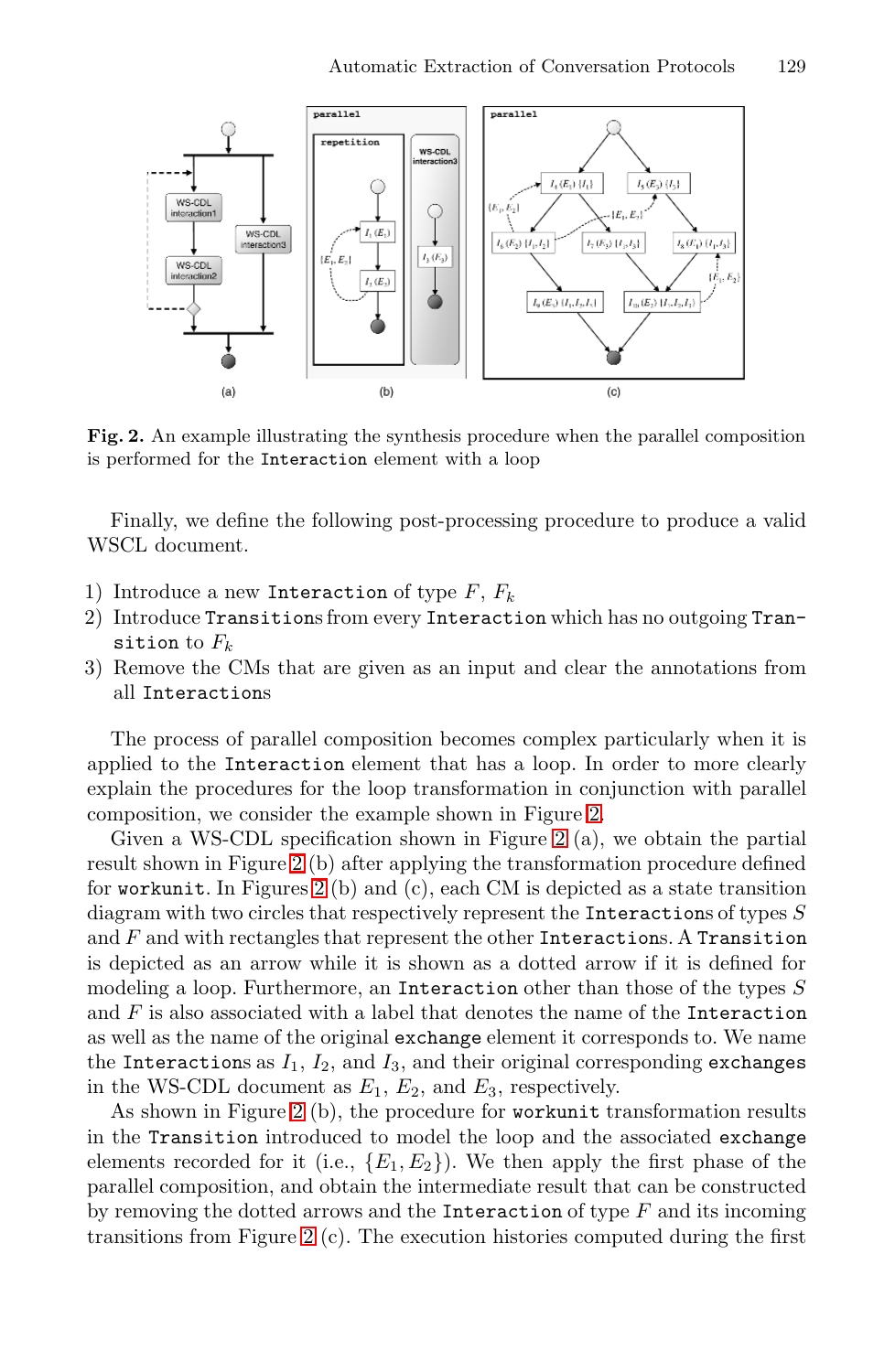

<span id="page-7-0"></span>**Fig. 2.** An example illustrating the synthesis procedure when the parallel composition is performed for the Interaction element with a loop

Finally, we define the following post-processing procedure to produce a valid WSCL document.

- 1) Introduce a new Interaction of type F, F*<sup>k</sup>*
- 2) Introduce Transitions from every Interaction which has no outgoing Transition to F*<sup>k</sup>*
- 3) Remove the CMs that are given as an input and clear the annotations from all Interactions

The process of parallel composition becomes complex particularly when it is applied to the Interaction element that has a loop. In order to more clearly explain the procedures for the loop transformation in conjunction with parallel composition, we consider the example shown in Figure [2.](#page-7-0)

Given a WS-CDL specification shown in Figure [2](#page-7-0) (a), we obtain the partial result shown in Figure [2](#page-7-0) (b) after applying the transformation procedure defined for workunit. In Figures [2](#page-7-0) (b) and (c), each CM is depicted as a state transition diagram with two circles that respectively represent the Interactions of types  $S$ and  $F$  and with rectangles that represent the other Interactions. A Transition is depicted as an arrow while it is shown as a dotted arrow if it is defined for modeling a loop. Furthermore, an Interaction other than those of the types S and  $F$  is also associated with a label that denotes the name of the Interaction as well as the name of the original exchange element it corresponds to. We name the Interactions as  $I_1$ ,  $I_2$ , and  $I_3$ , and their original corresponding exchanges in the WS-CDL document as  $E_1, E_2$ , and  $E_3$ , respectively.

As shown in Figure [2](#page-7-0) (b), the procedure for workunit transformation results in the Transition introduced to model the loop and the associated exchange elements recorded for it (i.e.,  ${E_1, E_2}$ ). We then apply the first phase of the parallel composition, and obtain the intermediate result that can be constructed by removing the dotted arrows and the Interaction of type  $F$  and its incoming transitions from Figure [2](#page-7-0) (c). The execution histories computed during the first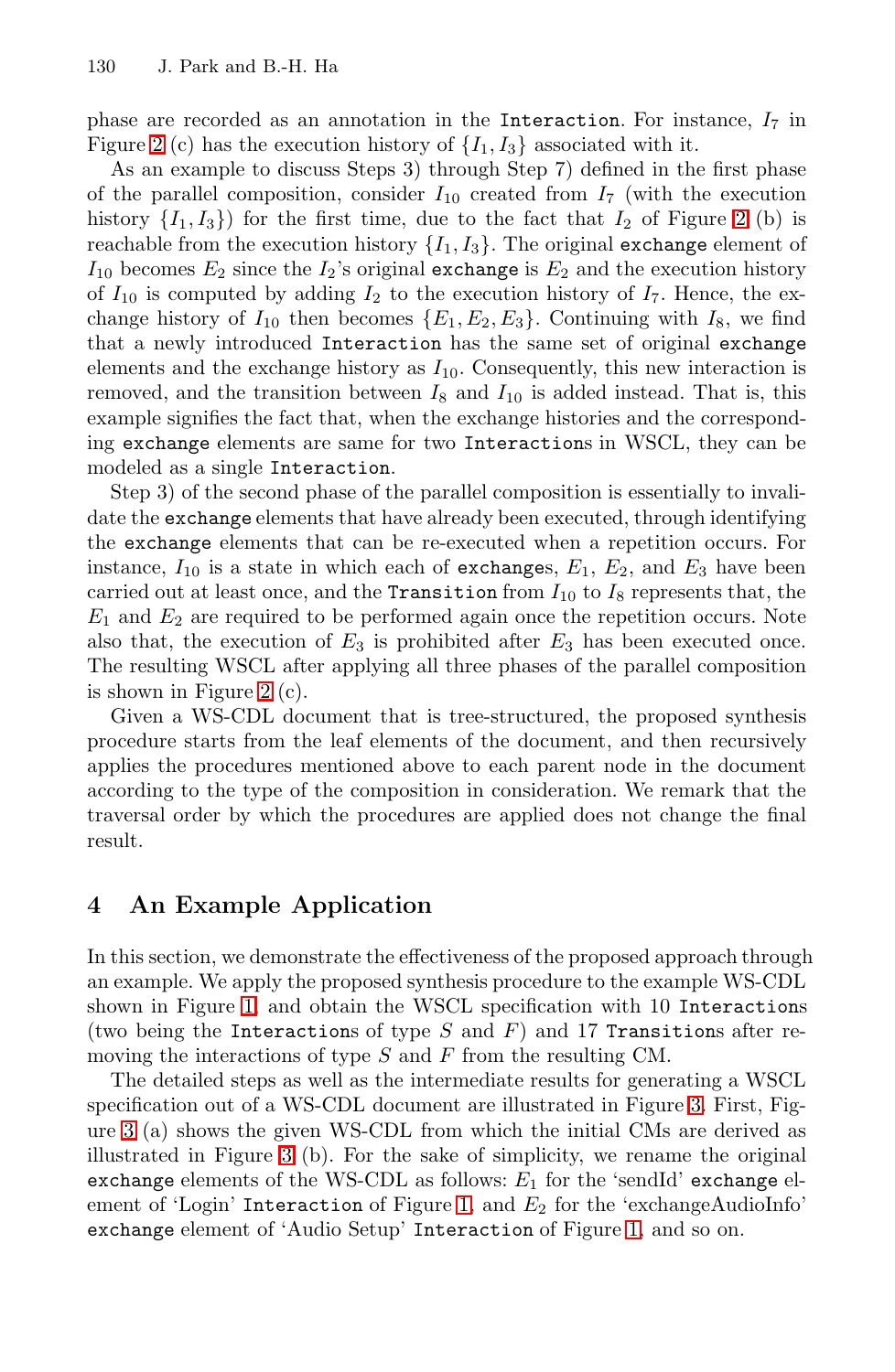phase are recorded as an annotation in the Interaction. For instance,  $I_7$  in Figure [2](#page-7-0) (c) has the execution history of  $\{I_1, I_3\}$  associated with it.

As an example to discuss Steps 3) through Step 7) defined in the first phase of the parallel composition, consider  $I_{10}$  created from  $I_7$  (with the execution history  $\{I_1, I_3\}$  for the first time, due to the fact that  $I_2$  of Figure [2](#page-7-0) (b) is reachable from the execution history  $\{I_1, I_3\}$ . The original exchange element of  $I_{10}$  becomes  $E_2$  since the  $I_2$ 's original exchange is  $E_2$  and the execution history of  $I_{10}$  is computed by adding  $I_2$  to the execution history of  $I_7$ . Hence, the exchange history of  $I_{10}$  then becomes  $\{E_1, E_2, E_3\}$ . Continuing with  $I_8$ , we find that a newly introduced Interaction has the same set of original exchange elements and the exchange history as  $I_{10}$ . Consequently, this new interaction is removed, and the transition between  $I_8$  and  $I_{10}$  is added instead. That is, this example signifies the fact that, when the exchange histories and the corresponding exchange elements are same for two Interactions in WSCL, they can be modeled as a single Interaction.

Step 3) of the second phase of the parallel composition is essentially to invalidate the exchange elements that have already been executed, through identifying the exchange elements that can be re-executed when a repetition occurs. For instance,  $I_{10}$  is a state in which each of exchanges,  $E_1$ ,  $E_2$ , and  $E_3$  have been carried out at least once, and the Transition from  $I_{10}$  to  $I_8$  represents that, the  $E_1$  and  $E_2$  are required to be performed again once the repetition occurs. Note also that, the execution of  $E_3$  is prohibited after  $E_3$  has been executed once. The resulting WSCL after applying all three phases of the parallel composition is shown in Figure [2](#page-7-0) (c).

Given a WS-CDL document that is tree-structured, the proposed synthesis procedure starts from the leaf elements of the document, and then recursively applies the procedures mentioned above to each parent node in the document according to the type of the composition in consideration. We remark that the traversal order by which the procedures are applied does not change the final result.

#### <span id="page-8-0"></span>**4 An Example Application**

In this section, we demonstrate the effectiveness of the proposed approach through an example. We apply the proposed synthesis procedure to the example WS-CDL shown in Figure [1,](#page-3-1) and obtain the WSCL specification with 10 Interactions (two being the Interactions of type S and F) and 17 Transitions after removing the interactions of type  $S$  and  $F$  from the resulting CM.

The detailed steps as well as the intermediate results for generating a WSCL specification out of a WS-CDL document are illustrated in Figure [3.](#page-9-1) First, Figure [3](#page-9-1) (a) shows the given WS-CDL from which the initial CMs are derived as illustrated in Figure [3](#page-9-1) (b). For the sake of simplicity, we rename the original exchange elements of the WS-CDL as follows:  $E_1$  for the 'sendId' exchange el-ement of 'Login' Interaction of Figure [1,](#page-3-1) and  $E_2$  for the 'exchangeAudioInfo' exchange element of 'Audio Setup' Interaction of Figure [1,](#page-3-1) and so on.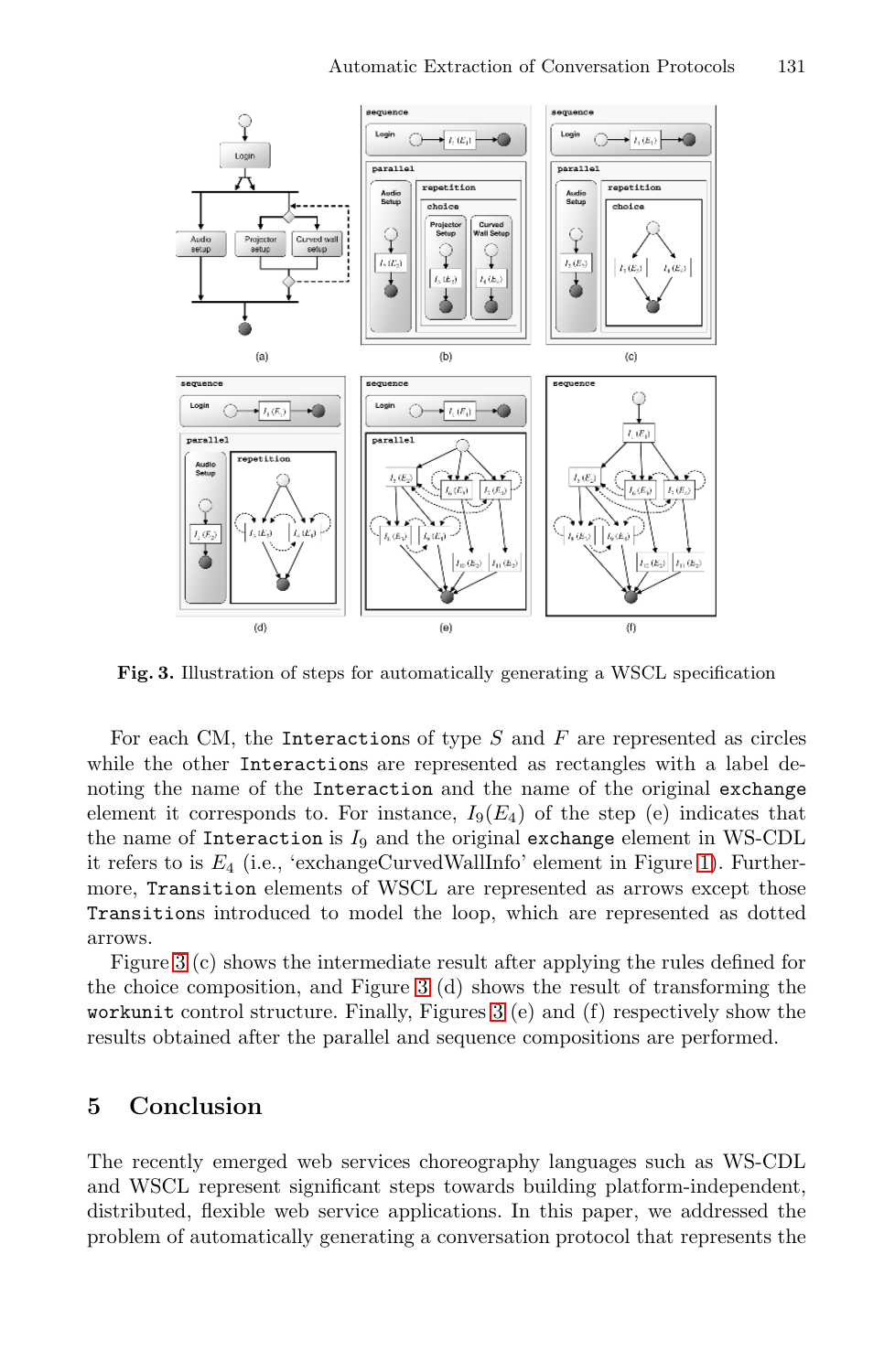

**Fig. 3.** Illustration of steps for automatically generating a WSCL specification

<span id="page-9-1"></span>For each CM, the Interactions of type  $S$  and  $F$  are represented as circles while the other Interactions are represented as rectangles with a label denoting the name of the Interaction and the name of the original exchange element it corresponds to. For instance,  $I_9(E_4)$  of the step (e) indicates that the name of Interaction is  $I_9$  and the original exchange element in WS-CDL it refers to is  $E_4$  (i.e., 'exchangeCurvedWallInfo' element in Figure [1\)](#page-3-1). Furthermore, Transition elements of WSCL are represented as arrows except those Transitions introduced to model the loop, which are represented as dotted arrows.

Figure [3](#page-9-1) (c) shows the intermediate result after applying the rules defined for the choice composition, and Figure [3](#page-9-1) (d) shows the result of transforming the workunit control structure. Finally, Figures [3](#page-9-1) (e) and (f) respectively show the results obtained after the parallel and sequence compositions are performed.

#### <span id="page-9-0"></span>**5 Conclusion**

The recently emerged web services choreography languages such as WS-CDL and WSCL represent significant steps towards building platform-independent, distributed, flexible web service applications. In this paper, we addressed the problem of automatically generating a conversation protocol that represents the